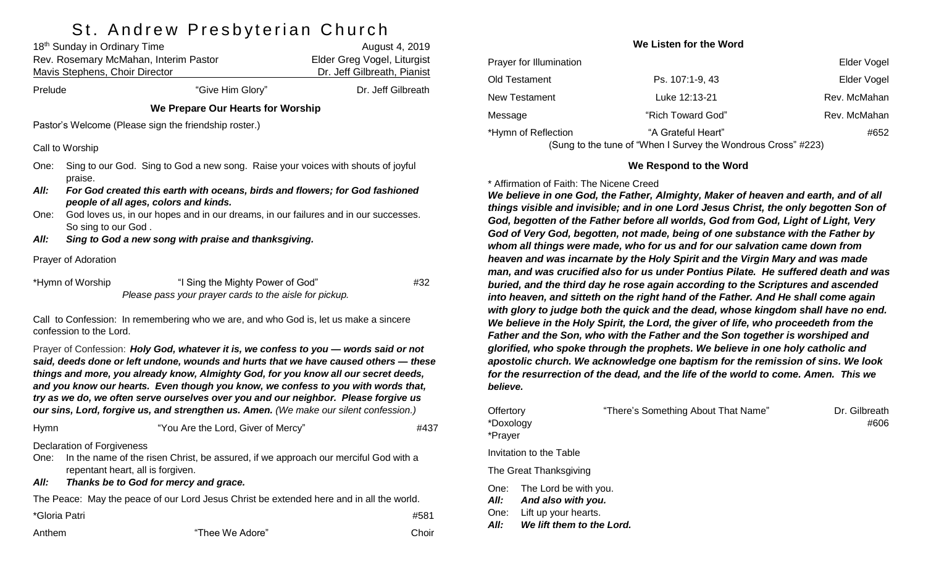# St Andrew Preshyterian Church

| 18 <sup>th</sup> Sunday in Ordinary Time<br>Rev. Rosemary McMahan, Interim Pastor<br><b>Mavis Stephens, Choir Director</b>                                                                                                                                                                                                                                                                                                                                                                                                                |                                                                                                                       |                                                                                            | August 4, 2019<br>Elder Greg Vogel, Liturgist<br>Dr. Jeff Gilbreath, Pianist |  |  |  |
|-------------------------------------------------------------------------------------------------------------------------------------------------------------------------------------------------------------------------------------------------------------------------------------------------------------------------------------------------------------------------------------------------------------------------------------------------------------------------------------------------------------------------------------------|-----------------------------------------------------------------------------------------------------------------------|--------------------------------------------------------------------------------------------|------------------------------------------------------------------------------|--|--|--|
| Prelude                                                                                                                                                                                                                                                                                                                                                                                                                                                                                                                                   |                                                                                                                       | "Give Him Glory"                                                                           | Dr. Jeff Gilbreath                                                           |  |  |  |
|                                                                                                                                                                                                                                                                                                                                                                                                                                                                                                                                           |                                                                                                                       | We Prepare Our Hearts for Worship                                                          |                                                                              |  |  |  |
|                                                                                                                                                                                                                                                                                                                                                                                                                                                                                                                                           |                                                                                                                       | Pastor's Welcome (Please sign the friendship roster.)                                      |                                                                              |  |  |  |
|                                                                                                                                                                                                                                                                                                                                                                                                                                                                                                                                           | Call to Worship                                                                                                       |                                                                                            |                                                                              |  |  |  |
| One:<br>All:                                                                                                                                                                                                                                                                                                                                                                                                                                                                                                                              | Sing to our God. Sing to God a new song. Raise your voices with shouts of joyful<br>praise.                           |                                                                                            |                                                                              |  |  |  |
|                                                                                                                                                                                                                                                                                                                                                                                                                                                                                                                                           | For God created this earth with oceans, birds and flowers; for God fashioned<br>people of all ages, colors and kinds. |                                                                                            |                                                                              |  |  |  |
| One:                                                                                                                                                                                                                                                                                                                                                                                                                                                                                                                                      | God loves us, in our hopes and in our dreams, in our failures and in our successes.                                   |                                                                                            |                                                                              |  |  |  |
| All:                                                                                                                                                                                                                                                                                                                                                                                                                                                                                                                                      | So sing to our God.<br>Sing to God a new song with praise and thanksgiving.                                           |                                                                                            |                                                                              |  |  |  |
|                                                                                                                                                                                                                                                                                                                                                                                                                                                                                                                                           | Prayer of Adoration                                                                                                   |                                                                                            |                                                                              |  |  |  |
|                                                                                                                                                                                                                                                                                                                                                                                                                                                                                                                                           | *Hymn of Worship                                                                                                      | "I Sing the Mighty Power of God"<br>Please pass your prayer cards to the aisle for pickup. | #32                                                                          |  |  |  |
| Call to Confession: In remembering who we are, and who God is, let us make a sincere<br>confession to the Lord.                                                                                                                                                                                                                                                                                                                                                                                                                           |                                                                                                                       |                                                                                            |                                                                              |  |  |  |
| Prayer of Confession: Holy God, whatever it is, we confess to you - words said or not<br>said, deeds done or left undone, wounds and hurts that we have caused others - these<br>things and more, you already know, Almighty God, for you know all our secret deeds,<br>and you know our hearts. Even though you know, we confess to you with words that,<br>try as we do, we often serve ourselves over you and our neighbor. Please forgive us<br>our sins, Lord, forgive us, and strengthen us. Amen. (We make our silent confession.) |                                                                                                                       |                                                                                            |                                                                              |  |  |  |
| Hymn                                                                                                                                                                                                                                                                                                                                                                                                                                                                                                                                      |                                                                                                                       | "You Are the Lord, Giver of Mercy"                                                         | #437                                                                         |  |  |  |
| <b>Declaration of Forgiveness</b><br>In the name of the risen Christ, be assured, if we approach our merciful God with a<br>One:<br>repentant heart, all is forgiven.<br>All:<br>Thanks be to God for mercy and grace.                                                                                                                                                                                                                                                                                                                    |                                                                                                                       |                                                                                            |                                                                              |  |  |  |
| The Peace: May the peace of our Lord Jesus Christ be extended here and in all the world.                                                                                                                                                                                                                                                                                                                                                                                                                                                  |                                                                                                                       |                                                                                            |                                                                              |  |  |  |

| *Gloria Patri |                 | #581  |
|---------------|-----------------|-------|
| Anthem        | "Thee We Adore" | Choir |

#### **We Listen for the Word**

| Prayer for Illumination |                                                               | Elder Vogel  |
|-------------------------|---------------------------------------------------------------|--------------|
| Old Testament           | Ps. 107:1-9, 43                                               | Elder Vogel  |
| New Testament           | Luke 12:13-21                                                 | Rev. McMahan |
| Message                 | "Rich Toward God"                                             | Rev. McMahan |
| *Hymn of Reflection     | "A Grateful Heart"                                            | #652         |
|                         | (Sung to the tune of "When I Survey the Wondrous Cross" #223) |              |

#### **We Respond to the Word**

\* Affirmation of Faith: The Nicene Creed

*We believe in one God, the Father, Almighty, Maker of heaven and earth, and of all things visible and invisible; and in one Lord Jesus Christ, the only begotten Son of God, begotten of the Father before all worlds, God from God, Light of Light, Very God of Very God, begotten, not made, being of one substance with the Father by whom all things were made, who for us and for our salvation came down from heaven and was incarnate by the Holy Spirit and the Virgin Mary and was made man, and was crucified also for us under Pontius Pilate. He suffered death and was buried, and the third day he rose again according to the Scriptures and ascended into heaven, and sitteth on the right hand of the Father. And He shall come again with glory to judge both the quick and the dead, whose kingdom shall have no end. We believe in the Holy Spirit, the Lord, the giver of life, who proceedeth from the Father and the Son, who with the Father and the Son together is worshiped and glorified, who spoke through the prophets. We believe in one holy catholic and apostolic church. We acknowledge one baptism for the remission of sins. We look for the resurrection of the dead, and the life of the world to come. Amen. This we believe.* 

| Offertory<br>*Doxology<br>*Prayer |                                                                                                            | "There's Something About That Name" | Dr. Gilbreath<br>#606 |
|-----------------------------------|------------------------------------------------------------------------------------------------------------|-------------------------------------|-----------------------|
|                                   | <b>Invitation to the Table</b>                                                                             |                                     |                       |
|                                   | The Great Thanksgiving                                                                                     |                                     |                       |
| All:<br>All:                      | One: The Lord be with you.<br>And also with you.<br>One: Lift up your hearts.<br>We lift them to the Lord. |                                     |                       |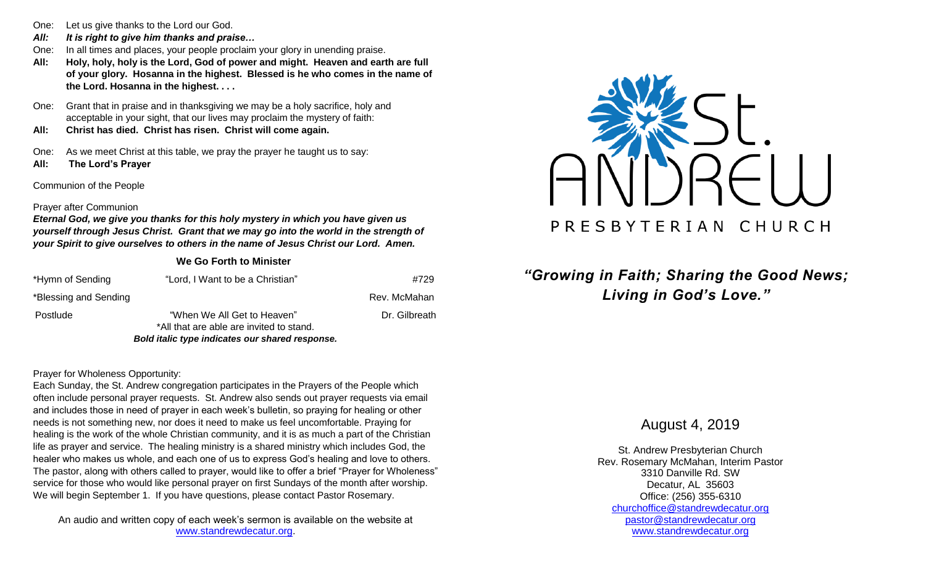- One: Let us give thanks to the Lord our God.
- *All: It is right to give him thanks and praise…*
- One: In all times and places, your people proclaim your glory in unending praise.
- **All: Holy, holy, holy is the Lord, God of power and might. Heaven and earth are full of your glory. Hosanna in the highest. Blessed is he who comes in the name of the Lord. Hosanna in the highest. . . .**
- One: Grant that in praise and in thanksgiving we may be a holy sacrifice, holy and acceptable in your sight, that our lives may proclaim the mystery of faith:
- **All: Christ has died. Christ has risen. Christ will come again.**

One: As we meet Christ at this table, we pray the prayer he taught us to say: **All: The Lord's Prayer**

Communion of the People

#### Prayer after Communion

*Eternal God, we give you thanks for this holy mystery in which you have given us yourself through Jesus Christ. Grant that we may go into the world in the strength of your Spirit to give ourselves to others in the name of Jesus Christ our Lord. Amen.*

**We Go Forth to Minister**

| Bold italic type indicates our shared response. |                                          |               |  |  |
|-------------------------------------------------|------------------------------------------|---------------|--|--|
|                                                 | *All that are able are invited to stand. |               |  |  |
| Postlude                                        | "When We All Get to Heaven"              | Dr. Gilbreath |  |  |
| *Blessing and Sending                           |                                          | Rev. McMahan  |  |  |
| *Hymn of Sending                                | "Lord, I Want to be a Christian"         | #729          |  |  |

#### Prayer for Wholeness Opportunity:

Each Sunday, the St. Andrew congregation participates in the Prayers of the People which often include personal prayer requests. St. Andrew also sends out prayer requests via email and includes those in need of prayer in each week's bulletin, so praying for healing or other needs is not something new, nor does it need to make us feel uncomfortable. Praying for healing is the work of the whole Christian community, and it is as much a part of the Christian life as prayer and service. The healing ministry is a shared ministry which includes God, the healer who makes us whole, and each one of us to express God's healing and love to others. The pastor, along with others called to prayer, would like to offer a brief "Prayer for Wholeness" service for those who would like personal prayer on first Sundays of the month after worship. We will begin September 1. If you have questions, please contact Pastor Rosemary.

An audio and written copy of each week's sermon is available on the website at [www.standrewdecatur.org.](http://www.standrewdecatur.org/)



## *"Growing in Faith; Sharing the Good News; Living in God's Love."*

August 4, 2019

St. Andrew Presbyterian Church Rev. Rosemary McMahan, Interim Pastor 3310 Danville Rd. SW Decatur, AL 35603 Office: (256) 355-6310 [churchoffice@standrewdecatur.org](mailto:churchoffice@standrewdecatur.org) pastor@standrewdecatur.org [www.standrewdecatur.org](http://www.standrewdecatur.org/)